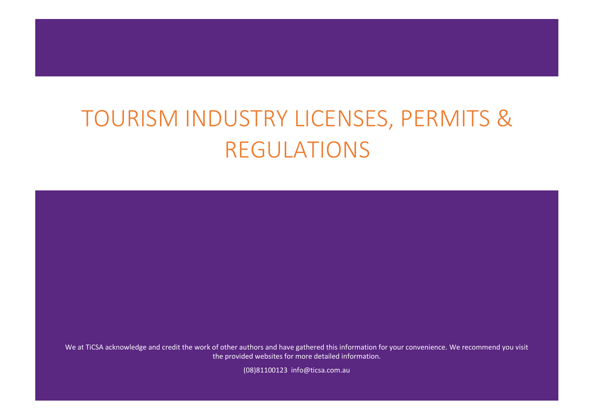We at TiCSA acknowledge and credit the work of other authors and have gathered this information for your convenience. We recommend you visit the provided websites for more detailed information.

(08)81100123 info@ticsa.com.au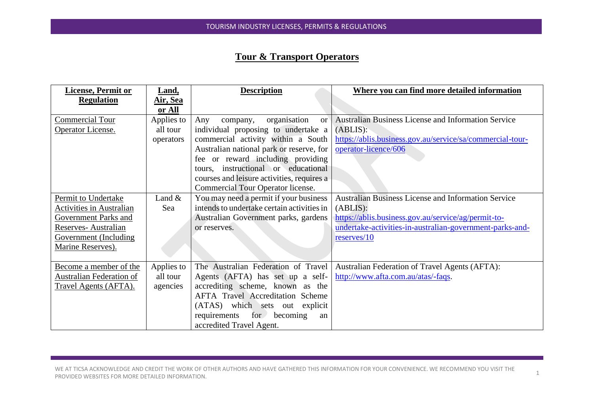## **Tour & Transport Operators**

| <b>License, Permit or</b>       | Land,           | <b>Description</b>                               | Where you can find more detailed information               |
|---------------------------------|-----------------|--------------------------------------------------|------------------------------------------------------------|
| <b>Regulation</b>               | <u>Air, Sea</u> |                                                  |                                                            |
|                                 | or All          |                                                  |                                                            |
| Commercial Tour                 | Applies to      | organisation<br>Any<br>company,<br><sub>or</sub> | <b>Australian Business License and Information Service</b> |
| Operator License.               | all tour        | individual proposing to undertake a              | (ABLIS):                                                   |
|                                 | operators       | commercial activity within a South               | https://ablis.business.gov.au/service/sa/commercial-tour-  |
|                                 |                 | Australian national park or reserve, for         | operator-licence/606                                       |
|                                 |                 | fee or reward including providing                |                                                            |
|                                 |                 | tours, instructional or educational              |                                                            |
|                                 |                 | courses and leisure activities, requires a       |                                                            |
|                                 |                 | Commercial Tour Operator license.                |                                                            |
| Permit to Undertake             | Land $&$        | You may need a permit if your business           | <b>Australian Business License and Information Service</b> |
| <b>Activities in Australian</b> | Sea             | intends to undertake certain activities in       | (ABLIS):                                                   |
| Government Parks and            |                 | Australian Government parks, gardens             | https://ablis.business.gov.au/service/ag/permit-to-        |
| Reserves- Australian            |                 | or reserves.                                     | undertake-activities-in-australian-government-parks-and-   |
| Government (Including           |                 |                                                  | reserves/10                                                |
| Marine Reserves).               |                 |                                                  |                                                            |
|                                 |                 |                                                  |                                                            |
| Become a member of the          | Applies to      | The Australian Federation of Travel              | Australian Federation of Travel Agents (AFTA):             |
| <b>Australian Federation of</b> | all tour        | Agents (AFTA) has set up a self-                 | http://www.afta.com.au/atas/-faqs.                         |
| Travel Agents (AFTA).           | agencies        | accrediting scheme, known as the                 |                                                            |
|                                 |                 | <b>AFTA Travel Accreditation Scheme</b>          |                                                            |
|                                 |                 | (ATAS) which sets out explicit                   |                                                            |
|                                 |                 | for becoming<br>requirements<br>an               |                                                            |
|                                 |                 | accredited Travel Agent.                         |                                                            |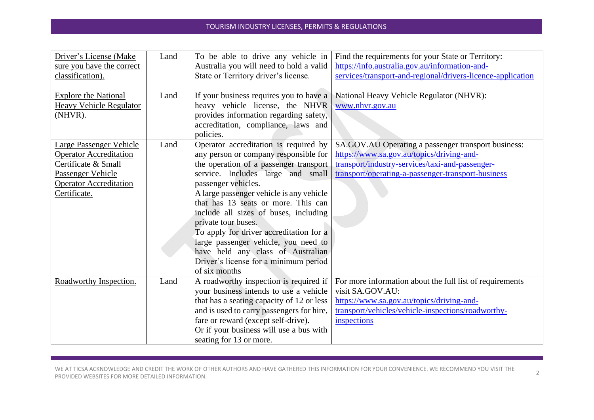| Driver's License (Make<br>sure you have the correct<br>classification).<br><b>Explore the National</b><br><b>Heavy Vehicle Regulator</b><br>(NHVR).          | Land<br>Land | To be able to drive any vehicle in<br>Australia you will need to hold a valid<br>State or Territory driver's license.<br>If your business requires you to have a<br>heavy vehicle license, the NHVR<br>provides information regarding safety,<br>accreditation, compliance, laws and                                                                                                                                                                                                                                                   | Find the requirements for your State or Territory:<br>https://info.australia.gov.au/information-and-<br>services/transport-and-regional/drivers-licence-application<br>National Heavy Vehicle Regulator (NHVR):<br>www.nhvr.gov.au |
|--------------------------------------------------------------------------------------------------------------------------------------------------------------|--------------|----------------------------------------------------------------------------------------------------------------------------------------------------------------------------------------------------------------------------------------------------------------------------------------------------------------------------------------------------------------------------------------------------------------------------------------------------------------------------------------------------------------------------------------|------------------------------------------------------------------------------------------------------------------------------------------------------------------------------------------------------------------------------------|
| <b>Large Passenger Vehicle</b><br><b>Operator Accreditation</b><br>Certificate & Small<br>Passenger Vehicle<br><b>Operator Accreditation</b><br>Certificate. | Land         | policies.<br>Operator accreditation is required by<br>any person or company responsible for<br>the operation of a passenger transport<br>service. Includes large and small<br>passenger vehicles.<br>A large passenger vehicle is any vehicle<br>that has 13 seats or more. This can<br>include all sizes of buses, including<br>private tour buses.<br>To apply for driver accreditation for a<br>large passenger vehicle, you need to<br>have held any class of Australian<br>Driver's license for a minimum period<br>of six months | SA.GOV.AU Operating a passenger transport business:<br>https://www.sa.gov.au/topics/driving-and-<br>transport/industry-services/taxi-and-passenger-<br>transport/operating-a-passenger-transport-business                          |
| Roadworthy Inspection.                                                                                                                                       | Land         | A roadworthy inspection is required if<br>your business intends to use a vehicle<br>that has a seating capacity of 12 or less<br>and is used to carry passengers for hire,<br>fare or reward (except self-drive).<br>Or if your business will use a bus with<br>seating for 13 or more.                                                                                                                                                                                                                                                | For more information about the full list of requirements<br>visit SA.GOV.AU:<br>https://www.sa.gov.au/topics/driving-and-<br>transport/vehicles/vehicle-inspections/roadworthy-<br>inspections                                     |

WE AT TICSA ACKNOWLEDGE AND CREDIT THE WORK OF OTHER AUTHORS AND HAVE GATHERED THIS INFORMATION FOR YOUR CONVENIENCE. WE RECOMMEND YOU VISIT THE WE AT TICSA ACKNOWLEDGE AND CREDIT THE WORK OF OTHER AUTHORS AND HAVE GATHERED THIS INFORMATION FOR YOUR CONVENIENCE. WE RECOMMEND YOU VISIT THE  $_{2}$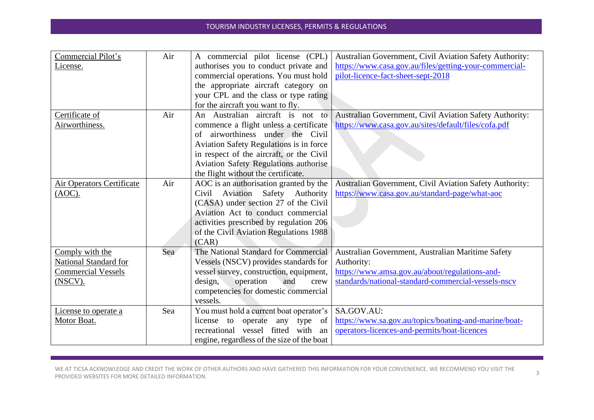| Commercial Pilot's        | Air | A commercial pilot license (CPL)                   | Australian Government, Civil Aviation Safety Authority: |
|---------------------------|-----|----------------------------------------------------|---------------------------------------------------------|
| License.                  |     | authorises you to conduct private and              | https://www.casa.gov.au/files/getting-your-commercial-  |
|                           |     | commercial operations. You must hold               | pilot-licence-fact-sheet-sept-2018                      |
|                           |     | the appropriate aircraft category on               |                                                         |
|                           |     | your CPL and the class or type rating              |                                                         |
|                           |     | for the aircraft you want to fly.                  |                                                         |
| Certificate of            | Air | An Australian aircraft is not to                   | Australian Government, Civil Aviation Safety Authority: |
| Airworthiness.            |     | commence a flight unless a certificate             | https://www.casa.gov.au/sites/default/files/cofa.pdf    |
|                           |     | of airworthiness under the Civil                   |                                                         |
|                           |     | Aviation Safety Regulations is in force            |                                                         |
|                           |     | in respect of the aircraft, or the Civil           |                                                         |
|                           |     | Aviation Safety Regulations authorise              |                                                         |
|                           |     | the flight without the certificate.                |                                                         |
| Air Operators Certificate | Air | AOC is an authorisation granted by the             | Australian Government, Civil Aviation Safety Authority: |
| (AOC).                    |     | Aviation Safety<br>Authority<br>Civil              | https://www.casa.gov.au/standard-page/what-aoc          |
|                           |     | (CASA) under section 27 of the Civil               |                                                         |
|                           |     | Aviation Act to conduct commercial                 |                                                         |
|                           |     | activities prescribed by regulation 206            |                                                         |
|                           |     | of the Civil Aviation Regulations 1988             |                                                         |
|                           |     | (CAR)                                              |                                                         |
| Comply with the           | Sea | The National Standard for Commercial               | Australian Government, Australian Maritime Safety       |
| National Standard for     |     | Vessels (NSCV) provides standards for              | Authority:                                              |
| <b>Commercial Vessels</b> |     | vessel survey, construction, equipment,            | https://www.amsa.gov.au/about/regulations-and-          |
| (NSCV).                   |     | design,<br>operation<br>and<br>crew                | standards/national-standard-commercial-vessels-nscv     |
|                           |     | competencies for domestic commercial               |                                                         |
|                           |     | vessels.                                           |                                                         |
| License to operate a      | Sea | You must hold a current boat operator's            | SA.GOV.AU:                                              |
| Motor Boat.               |     | license to<br>operate<br>any type<br><sub>of</sub> | https://www.sa.gov.au/topics/boating-and-marine/boat-   |
|                           |     | recreational vessel fitted with<br>an              | operators-licences-and-permits/boat-licences            |
|                           |     | engine, regardless of the size of the boat         |                                                         |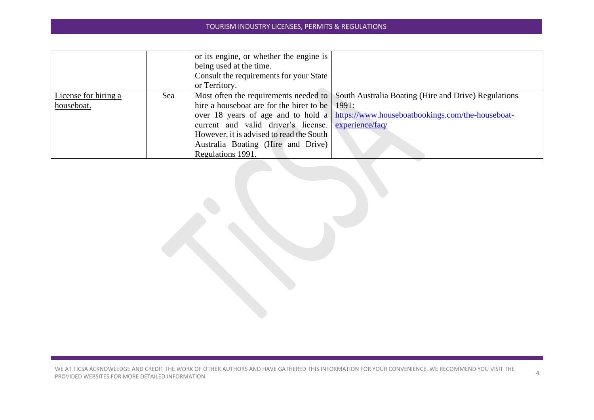|                      |     | or its engine, or whether the engine is                |                                                                                            |
|----------------------|-----|--------------------------------------------------------|--------------------------------------------------------------------------------------------|
|                      |     | being used at the time.                                |                                                                                            |
|                      |     | Consult the requirements for your State                |                                                                                            |
|                      |     | or Territory.                                          |                                                                                            |
| License for hiring a | Sea |                                                        | Most often the requirements needed to South Australia Boating (Hire and Drive) Regulations |
| houseboat.           |     | hire a houseboat are for the hirer to be $\vert$ 1991: |                                                                                            |
|                      |     |                                                        | over 18 years of age and to hold a https://www.houseboatbookings.com/the-houseboat-        |
|                      |     | current and valid driver's license. experience/faq/    |                                                                                            |
|                      |     | However, it is advised to read the South               |                                                                                            |
|                      |     | Australia Boating (Hire and Drive)                     |                                                                                            |
|                      |     | Regulations 1991.                                      |                                                                                            |

WE AT TICSA ACKNOWLEDGE AND CREDIT THE WORK OF OTHER AUTHORS AND HAVE GATHERED THIS INFORMATION FOR YOUR CONVENIENCE. WE RECOMMEND YOU VISIT THE PROVIDED WEBSITES FOR MORE DETAILED INFORMATION.<br>PROVIDED WEBSITES FOR MORE DETAILED INFORMATION.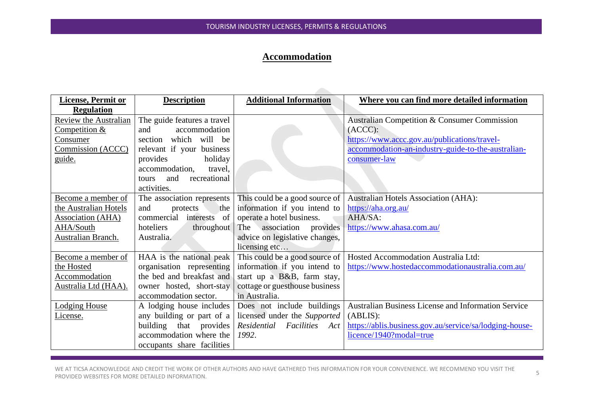## **Accommodation**

| <b>License, Permit or</b> | <b>Description</b>               | <b>Additional Information</b>  | Where you can find more detailed information               |
|---------------------------|----------------------------------|--------------------------------|------------------------------------------------------------|
| <b>Regulation</b>         |                                  |                                |                                                            |
| Review the Australian     | The guide features a travel      |                                | Australian Competition & Consumer Commission               |
| Competition &             | accommodation<br>and             |                                | (ACC):                                                     |
| Consumer                  | section which will be            |                                | https://www.accc.gov.au/publications/travel-               |
| Commission (ACCC)         | relevant if your business        |                                | accommodation-an-industry-guide-to-the-australian-         |
| guide.                    | holiday<br>provides              |                                | consumer-law                                               |
|                           | accommodation,<br>travel,        |                                |                                                            |
|                           | recreational<br>and<br>tours     |                                |                                                            |
|                           | activities.                      |                                |                                                            |
| Become a member of        | The association represents       | This could be a good source of | <b>Australian Hotels Association (AHA):</b>                |
| the Australian Hotels     | and<br>protects<br>the           | information if you intend to   | https://aha.org.au/                                        |
| <b>Association (AHA)</b>  | commercial interests of          | operate a hotel business.      | AHA/SA:                                                    |
| AHA/South                 | hoteliers<br>throughout          | The association provides       | https://www.ahasa.com.au/                                  |
| Australian Branch.        | Australia.                       | advice on legislative changes, |                                                            |
|                           |                                  | licensing etc                  |                                                            |
| Become a member of        | HAA is the national peak         | This could be a good source of | Hosted Accommodation Australia Ltd:                        |
| the Hosted                | organisation representing        | information if you intend to   | https://www.hostedaccommodationaustralia.com.au/           |
| <b>Accommodation</b>      | the bed and breakfast and        | start up a B&B, farm stay,     |                                                            |
| Australia Ltd (HAA).      | owner hosted, short-stay         | cottage or guesthouse business |                                                            |
|                           | accommodation sector.            | in Australia.                  |                                                            |
| <b>Lodging House</b>      | A lodging house includes         | Does not include buildings     | <b>Australian Business License and Information Service</b> |
| License.                  | any building or part of $a \mid$ | licensed under the Supported   | (ABLIS):                                                   |
|                           | building that provides           | Residential Facilities<br>Act  | https://ablis.business.gov.au/service/sa/lodging-house-    |
|                           | accommodation where the          | 1992.                          | licence/1940?modal=true                                    |
|                           | occupants share facilities       |                                |                                                            |

WE AT TICSA ACKNOWLEDGE AND CREDIT THE WORK OF OTHER AUTHORS AND HAVE GATHERED THIS INFORMATION FOR YOUR CONVENIENCE. WE RECOMMEND YOU VISIT THE WE AT HUSA AUKNOWLEDGE AND UREDITTHE WORK OF OTHER AUTHORS AND HAVE GATHERED THIS INFORMATION FOR YOUR CONVENIENCE. WE RECOMMEND YOU VISITTHE THE SAME AND THE SAME AND RESITES FOR MORE DETAILED INFORMATION.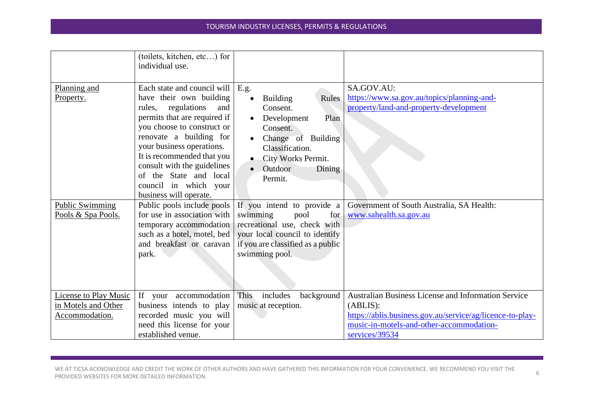|                                                                       | (toilets, kitchen, etc) for<br>individual use.                                                                                                                                                                                                                                                                                                         |                                                                                                                                                                                                                                                 |                                                                                                                                                                                                   |
|-----------------------------------------------------------------------|--------------------------------------------------------------------------------------------------------------------------------------------------------------------------------------------------------------------------------------------------------------------------------------------------------------------------------------------------------|-------------------------------------------------------------------------------------------------------------------------------------------------------------------------------------------------------------------------------------------------|---------------------------------------------------------------------------------------------------------------------------------------------------------------------------------------------------|
| Planning and<br>Property.                                             | Each state and council will<br>have their own building<br>regulations<br>and<br>rules,<br>permits that are required if<br>you choose to construct or<br>renovate a building for<br>your business operations.<br>It is recommended that you<br>consult with the guidelines<br>of the State and local<br>council in which your<br>business will operate. | E.g.<br>Rules<br><b>Building</b><br>$\bullet$<br>Consent.<br>Plan<br>Development<br>$\bullet$<br>Consent.<br>Change of Building<br>$\bullet$<br>Classification.<br>City Works Permit.<br>$\bullet$<br>Outdoor<br>Dining<br>$\bullet$<br>Permit. | SA.GOV.AU:<br>https://www.sa.gov.au/topics/planning-and-<br>property/land-and-property-development                                                                                                |
| <b>Public Swimming</b><br>Pools & Spa Pools.                          | Public pools include pools<br>for use in association with<br>temporary accommodation<br>such as a hotel, motel, bed<br>and breakfast or caravan<br>park.                                                                                                                                                                                               | If you intend to provide a<br>swimming<br>for<br>pool<br>recreational use, check with<br>your local council to identify<br>if you are classified as a public<br>swimming pool.                                                                  | Government of South Australia, SA Health:<br>www.sahealth.sa.gov.au                                                                                                                               |
| <b>License to Play Music</b><br>in Motels and Other<br>Accommodation. | If your accommodation<br>business intends to play<br>recorded music you will<br>need this license for your<br>established venue.                                                                                                                                                                                                                       | includes<br>background<br>This<br>music at reception.                                                                                                                                                                                           | <b>Australian Business License and Information Service</b><br>(ABLIS):<br>https://ablis.business.gov.au/service/ag/licence-to-play-<br>music-in-motels-and-other-accommodation-<br>services/39534 |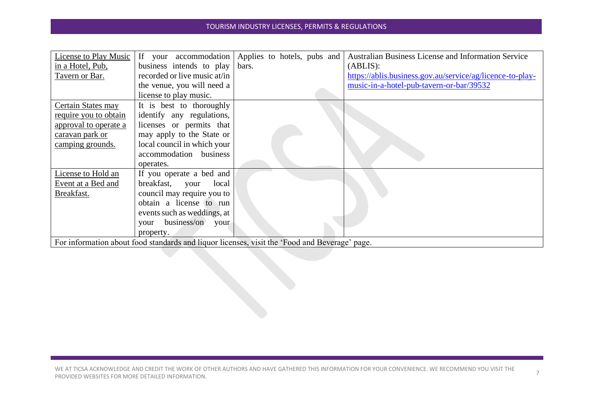| License to Play Music |                                                                                               | If your accommodation Applies to hotels, pubs and | <b>Australian Business License and Information Service</b> |
|-----------------------|-----------------------------------------------------------------------------------------------|---------------------------------------------------|------------------------------------------------------------|
| in a Hotel, Pub,      | business intends to play                                                                      | bars.                                             | (ABLIS):                                                   |
| Tavern or Bar.        | recorded or live music at/in                                                                  |                                                   | https://ablis.business.gov.au/service/ag/licence-to-play-  |
|                       | the venue, you will need a                                                                    |                                                   | music-in-a-hotel-pub-tavern-or-bar/39532                   |
|                       | license to play music.                                                                        |                                                   |                                                            |
| Certain States may    | It is best to thoroughly                                                                      |                                                   |                                                            |
| require you to obtain | identify any regulations,                                                                     |                                                   |                                                            |
| approval to operate a | licenses or permits that                                                                      |                                                   |                                                            |
| caravan park or       | may apply to the State or                                                                     |                                                   |                                                            |
| camping grounds.      | local council in which your                                                                   |                                                   |                                                            |
|                       | accommodation business                                                                        |                                                   |                                                            |
|                       | operates.                                                                                     |                                                   |                                                            |
| License to Hold an    | If you operate a bed and                                                                      |                                                   |                                                            |
| Event at a Bed and    | breakfast, your<br>local                                                                      |                                                   |                                                            |
| Breakfast.            | council may require you to                                                                    |                                                   |                                                            |
|                       | obtain a license to run                                                                       |                                                   |                                                            |
|                       | events such as weddings, at                                                                   |                                                   |                                                            |
|                       | business/on<br>your<br>your                                                                   |                                                   |                                                            |
|                       | property.                                                                                     |                                                   |                                                            |
|                       | For information about food standards and liquor licenses, visit the 'Food and Beverage' page. |                                                   |                                                            |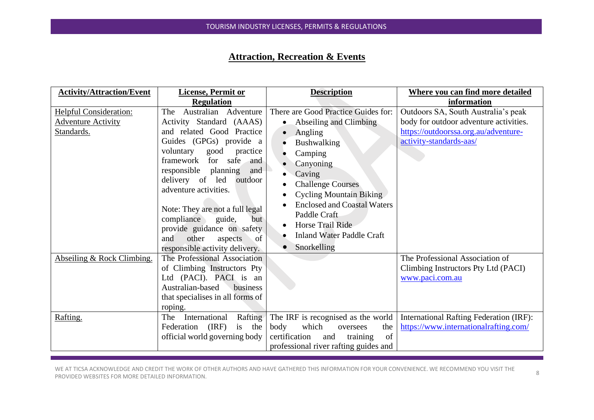## **Attraction, Recreation & Events**

| <b>Activity/Attraction/Event</b>                                         | <b>License, Permit or</b>                                                                                                                                                                                                                                                                                                                                                                                                                             | <b>Description</b>                                                                                                                                                                                                                                                                                                                                          | Where you can find more detailed                                                                                                                 |
|--------------------------------------------------------------------------|-------------------------------------------------------------------------------------------------------------------------------------------------------------------------------------------------------------------------------------------------------------------------------------------------------------------------------------------------------------------------------------------------------------------------------------------------------|-------------------------------------------------------------------------------------------------------------------------------------------------------------------------------------------------------------------------------------------------------------------------------------------------------------------------------------------------------------|--------------------------------------------------------------------------------------------------------------------------------------------------|
|                                                                          | <b>Regulation</b>                                                                                                                                                                                                                                                                                                                                                                                                                                     |                                                                                                                                                                                                                                                                                                                                                             | information                                                                                                                                      |
| <b>Helpful Consideration:</b><br><b>Adventure Activity</b><br>Standards. | Adventure<br>Australian<br>The<br>Activity Standard (AAAS)<br>and related Good Practice<br>Guides (GPGs) provide a<br>voluntary<br>good<br>practice<br>framework<br>for<br>safe<br>and<br>responsible<br>planning<br>and<br>delivery of<br>led<br>outdoor<br>adventure activities.<br>Note: They are not a full legal<br>compliance<br>guide,<br>but<br>provide guidance on safety<br>other<br>of<br>and<br>aspects<br>responsible activity delivery. | There are Good Practice Guides for:<br>Abseiling and Climbing<br>$\bullet$<br>Angling<br>$\bullet$<br>Bushwalking<br>Camping<br>Canyoning<br>Caving<br><b>Challenge Courses</b><br><b>Cycling Mountain Biking</b><br>$\bullet$<br><b>Enclosed and Coastal Waters</b><br>Paddle Craft<br>Horse Trail Ride<br><b>Inland Water Paddle Craft</b><br>Snorkelling | Outdoors SA, South Australia's peak<br>body for outdoor adventure activities.<br>https://outdoorssa.org.au/adventure-<br>activity-standards-aas/ |
| Abseiling & Rock Climbing.                                               | The Professional Association<br>of Climbing Instructors Pty<br>Ltd (PACI). PACI is<br>an<br>Australian-based<br>business<br>that specialises in all forms of<br>roping.                                                                                                                                                                                                                                                                               |                                                                                                                                                                                                                                                                                                                                                             | The Professional Association of<br>Climbing Instructors Pty Ltd (PACI)<br>www.paci.com.au                                                        |
| Rafting.                                                                 | International<br>Rafting<br>The<br>(IRF)<br>Federation<br>is the<br>official world governing body                                                                                                                                                                                                                                                                                                                                                     | The IRF is recognised as the world<br>which<br>body<br>the<br>oversees<br>of<br>certification<br>and<br>training<br>professional river rafting guides and                                                                                                                                                                                                   | <b>International Rafting Federation (IRF):</b><br>https://www.internationalrafting.com/                                                          |

WE AT TICSA ACKNOWLEDGE AND CREDIT THE WORK OF OTHER AUTHORS AND HAVE GATHERED THIS INFORMATION FOR YOUR CONVENIENCE. WE RECOMMEND YOU VISIT THE WE AT TICSA ACKNOWLEDGE AND CREDIT THE WORK OF OTHER AUTHORS AND HAVE GATHERED THIS INFORMATION FOR YOUR CONVENIENCE. WE RECOMMEND YOU VISIT THE BEATHER AND RESERVE AND RESERVE AND RESERVE AND RESERVE AND RESERVE AND RESER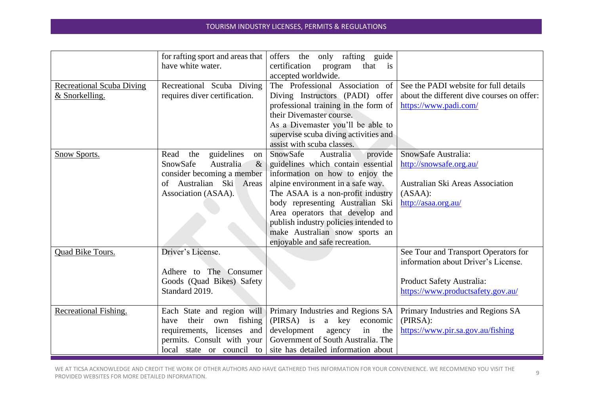|                                                               | for rafting sport and areas that<br>have white water.                                                                                                  | offers the only rafting guide<br>certification<br>that<br>program<br>$\overline{1}S$<br>accepted worldwide.                                                                                                                                                                                                                                                             |                                                                                                                                               |
|---------------------------------------------------------------|--------------------------------------------------------------------------------------------------------------------------------------------------------|-------------------------------------------------------------------------------------------------------------------------------------------------------------------------------------------------------------------------------------------------------------------------------------------------------------------------------------------------------------------------|-----------------------------------------------------------------------------------------------------------------------------------------------|
| <b>Recreational Scuba Diving</b><br><u>&amp; Snorkelling.</u> | Recreational Scuba Diving<br>requires diver certification.                                                                                             | The Professional Association of<br>Diving Instructors (PADI) offer<br>professional training in the form of<br>their Divemaster course.<br>As a Divemaster you'll be able to<br>supervise scuba diving activities and<br>assist with scuba classes.                                                                                                                      | See the PADI website for full details<br>about the different dive courses on offer:<br>https://www.padi.com/                                  |
| Snow Sports.                                                  | guidelines<br>Read<br>the<br>on<br>SnowSafe<br>Australia<br>$\&$<br>consider becoming a member<br>Australian Ski Areas<br>οf<br>Association (ASAA).    | SnowSafe<br>Australia<br>provide<br>guidelines which contain essential<br>information on how to enjoy the<br>alpine environment in a safe way.<br>The ASAA is a non-profit industry<br>body representing Australian Ski<br>Area operators that develop and<br>publish industry policies intended to<br>make Australian snow sports an<br>enjoyable and safe recreation. | SnowSafe Australia:<br>http://snowsafe.org.au/<br>Australian Ski Areas Association<br>(ASAA):<br>http://asaa.org.au/                          |
| Quad Bike Tours.                                              | Driver's License.<br>Adhere to The Consumer<br>Goods (Quad Bikes) Safety<br>Standard 2019.                                                             |                                                                                                                                                                                                                                                                                                                                                                         | See Tour and Transport Operators for<br>information about Driver's License.<br>Product Safety Australia:<br>https://www.productsafety.gov.au/ |
| Recreational Fishing.                                         | Each State and region will<br>fishing<br>their<br>own<br>have<br>requirements, licenses and<br>permits. Consult with your<br>local state or council to | Primary Industries and Regions SA<br>$(PIRSA)$ is<br>a key<br>economic<br>development<br>in<br>agency<br>the<br>Government of South Australia. The<br>site has detailed information about                                                                                                                                                                               | Primary Industries and Regions SA<br>(PIRSA):<br>https://www.pir.sa.gov.au/fishing                                                            |

WE AT TICSA ACKNOWLEDGE AND CREDIT THE WORK OF OTHER AUTHORS AND HAVE GATHERED THIS INFORMATION FOR YOUR CONVENIENCE. WE RECOMMEND YOU VISIT THE WE AT TICSA ACKNOWLEDGE AND CREDIT THE WORK OF OTHER AUTHORS AND HAVE GATHERED THIS INFORMATION FOR YOUR CONVENIENCE. WE RECOMMEND YOU VISIT THE GODD OF BEATHER AND CREDIT THE GODD OF BEATH AND RELATION CONVENIENCE. WE REC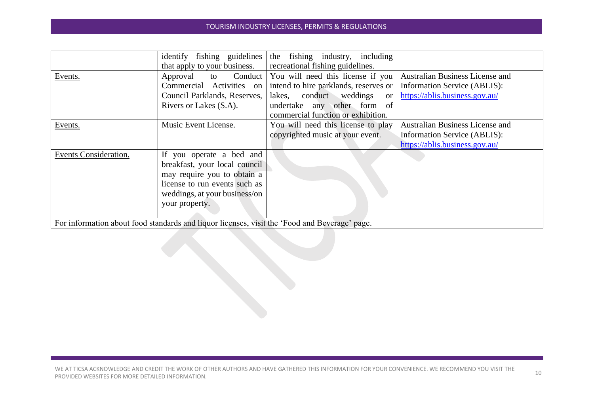|                                                                                               | identify fishing guidelines   | fishing industry, including<br>the        |                                        |  |
|-----------------------------------------------------------------------------------------------|-------------------------------|-------------------------------------------|----------------------------------------|--|
|                                                                                               | that apply to your business.  | recreational fishing guidelines.          |                                        |  |
| Events.                                                                                       | Conduct<br>Approval<br>to     | You will need this license if you         | <b>Australian Business License and</b> |  |
|                                                                                               | Commercial Activities on      | intend to hire parklands, reserves or     | Information Service (ABLIS):           |  |
|                                                                                               | Council Parklands, Reserves,  | conduct<br>weddings<br>lakes,<br>or       | https://ablis.business.gov.au/         |  |
|                                                                                               | Rivers or Lakes (S.A).        | <sub>of</sub><br>undertake any other form |                                        |  |
|                                                                                               |                               | commercial function or exhibition.        |                                        |  |
| Events.                                                                                       | Music Event License.          | You will need this license to play        | Australian Business License and        |  |
|                                                                                               |                               | copyrighted music at your event.          | Information Service (ABLIS):           |  |
|                                                                                               |                               |                                           | https://ablis.business.gov.au/         |  |
| Events Consideration.                                                                         | If you operate a bed and      |                                           |                                        |  |
|                                                                                               | breakfast, your local council |                                           |                                        |  |
|                                                                                               | may require you to obtain a   |                                           |                                        |  |
|                                                                                               | license to run events such as |                                           |                                        |  |
|                                                                                               | weddings, at your business/on |                                           |                                        |  |
|                                                                                               | your property.                |                                           |                                        |  |
|                                                                                               |                               |                                           |                                        |  |
| For information about food standards and liquor licenses, visit the 'Food and Beverage' page. |                               |                                           |                                        |  |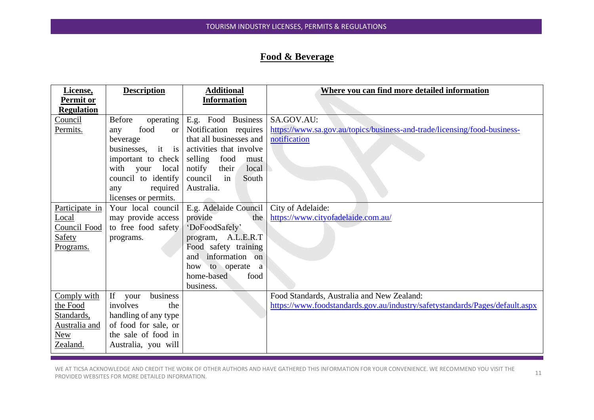## **Food & Beverage**

| https://www.sa.gov.au/topics/business-and-trade/licensing/food-business-     |
|------------------------------------------------------------------------------|
|                                                                              |
|                                                                              |
|                                                                              |
|                                                                              |
|                                                                              |
|                                                                              |
|                                                                              |
|                                                                              |
|                                                                              |
|                                                                              |
|                                                                              |
|                                                                              |
|                                                                              |
|                                                                              |
|                                                                              |
|                                                                              |
|                                                                              |
| https://www.foodstandards.gov.au/industry/safetystandards/Pages/default.aspx |
|                                                                              |
|                                                                              |
|                                                                              |
|                                                                              |
|                                                                              |

WE AT TICSA ACKNOWLEDGE AND CREDIT THE WORK OF OTHER AUTHORS AND HAVE GATHERED THIS INFORMATION FOR YOUR CONVENIENCE. WE RECOMMEND YOU VISIT THE WE AT HOSA ACKNOWLEDGE AND CREDIT THE WORK OF OTHER AOTHORS AND HAVE GATHERED THIS INFORMATION FOR TOOR CONVENIENCE. WE RECOMMEND TOO VISH THE 11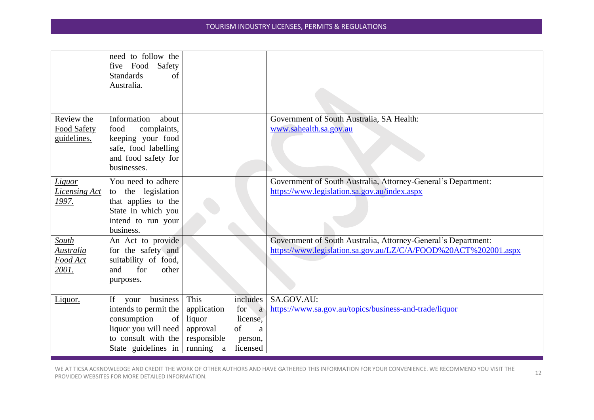|                                                       | need to follow the<br>five Food<br>Safety<br><b>Standards</b><br>of<br>Australia.                                                          |                                                                       |                                                                                 |                                                                                                                                  |
|-------------------------------------------------------|--------------------------------------------------------------------------------------------------------------------------------------------|-----------------------------------------------------------------------|---------------------------------------------------------------------------------|----------------------------------------------------------------------------------------------------------------------------------|
|                                                       |                                                                                                                                            |                                                                       |                                                                                 |                                                                                                                                  |
| Review the<br><b>Food Safety</b><br>guidelines.       | Information<br>about<br>complaints,<br>food<br>keeping your food<br>safe, food labelling<br>and food safety for<br>businesses.             |                                                                       |                                                                                 | Government of South Australia, SA Health:<br>www.sahealth.sa.gov.au                                                              |
| Liquor<br><b>Licensing Act</b><br><u> 1997.</u>       | You need to adhere<br>the legislation<br>to<br>that applies to the<br>State in which you<br>intend to run your<br>business.                |                                                                       |                                                                                 | Government of South Australia, Attorney-General's Department:<br>https://www.legislation.sa.gov.au/index.aspx                    |
| South<br>Australia<br><u>Food Act</u><br><u>2001.</u> | An Act to provide<br>for the safety and<br>suitability of food,<br>and<br>for<br>other<br>purposes.                                        |                                                                       |                                                                                 | Government of South Australia, Attorney-General's Department:<br>https://www.legislation.sa.gov.au/LZ/C/A/FOOD%20ACT%202001.aspx |
| Liquor.                                               | If<br>business<br>your<br>intends to permit the<br>consumption<br>of<br>liquor you will need<br>to consult with the<br>State guidelines in | This<br>application<br>liquor<br>approval<br>responsible<br>running a | includes<br>for<br>$\overline{a}$<br>license,<br>of<br>a<br>person,<br>licensed | SA.GOV.AU:<br>https://www.sa.gov.au/topics/business-and-trade/liquor                                                             |

WE AT TICSA ACKNOWLEDGE AND CREDIT THE WORK OF OTHER AUTHORS AND HAVE GATHERED THIS INFORMATION FOR YOUR CONVENIENCE. WE RECOMMEND YOU VISIT THE PROVIDED WEBSITES FOR MORE DETAILED INFORMATION.<br>PROVIDED WEBSITES FOR MORE DETAILED INFORMATION.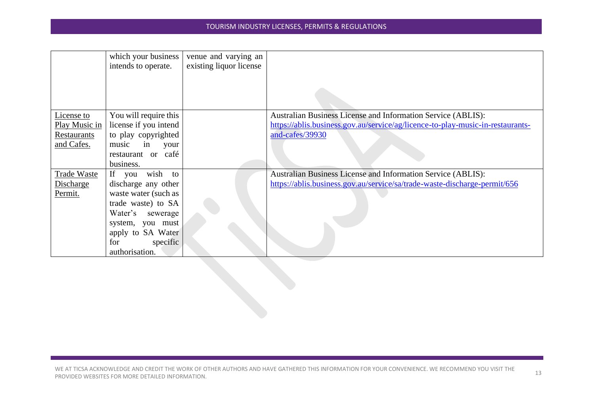|                                                          | which your business<br>intends to operate.                                                                                                                                                  | venue and varying an<br>existing liquor license |                                                                                                                                                                          |
|----------------------------------------------------------|---------------------------------------------------------------------------------------------------------------------------------------------------------------------------------------------|-------------------------------------------------|--------------------------------------------------------------------------------------------------------------------------------------------------------------------------|
| License to<br>Play Music in<br>Restaurants<br>and Cafes. | You will require this<br>license if you intend<br>to play copyrighted<br>music<br>in<br>your<br>restaurant or café<br>business.                                                             |                                                 | <b>Australian Business License and Information Service (ABLIS):</b><br>https://ablis.business.gov.au/service/ag/licence-to-play-music-in-restaurants-<br>and-cafes/39930 |
| <b>Trade Waste</b><br>Discharge<br>Permit.               | If<br>wish to<br>you<br>discharge any other<br>waste water (such as<br>trade waste) to SA<br>Water's sewerage<br>system, you must<br>apply to SA Water<br>for<br>specific<br>authorisation. |                                                 | <b>Australian Business License and Information Service (ABLIS):</b><br>https://ablis.business.gov.au/service/sa/trade-waste-discharge-permit/656                         |